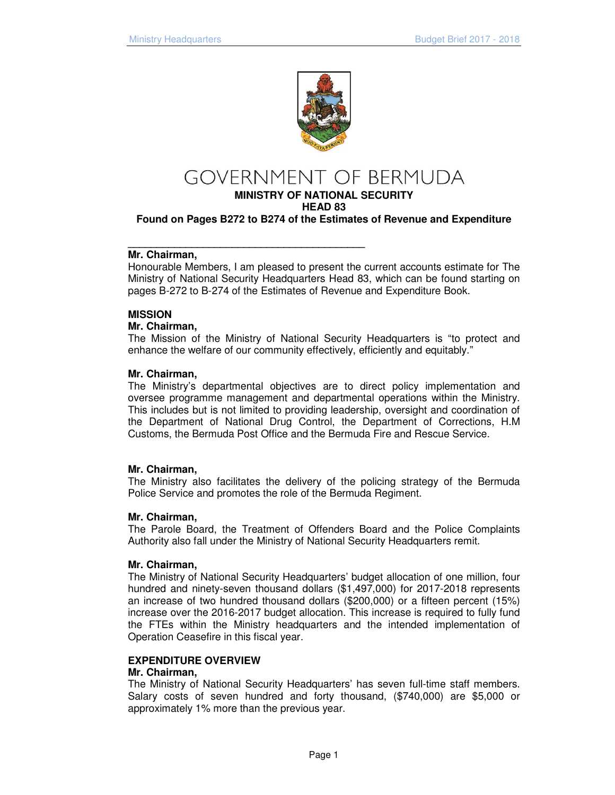

# **GOVERNMENT OF BERMUDA**

**MINISTRY OF NATIONAL SECURITY** 

**HEAD 83** 

**\_\_\_\_\_\_\_\_\_\_\_\_\_\_\_\_\_\_\_\_\_\_\_\_\_\_\_\_\_\_\_\_\_\_\_\_\_\_\_\_\_** 

**Found on Pages B272 to B274 of the Estimates of Revenue and Expenditure** 

#### **Mr. Chairman,**

Honourable Members, I am pleased to present the current accounts estimate for The Ministry of National Security Headquarters Head 83, which can be found starting on pages B-272 to B-274 of the Estimates of Revenue and Expenditure Book.

# **MISSION**

#### **Mr. Chairman,**

The Mission of the Ministry of National Security Headquarters is "to protect and enhance the welfare of our community effectively, efficiently and equitably."

# **Mr. Chairman,**

The Ministry's departmental objectives are to direct policy implementation and oversee programme management and departmental operations within the Ministry. This includes but is not limited to providing leadership, oversight and coordination of the Department of National Drug Control, the Department of Corrections, H.M Customs, the Bermuda Post Office and the Bermuda Fire and Rescue Service.

#### **Mr. Chairman,**

The Ministry also facilitates the delivery of the policing strategy of the Bermuda Police Service and promotes the role of the Bermuda Regiment.

#### **Mr. Chairman,**

The Parole Board, the Treatment of Offenders Board and the Police Complaints Authority also fall under the Ministry of National Security Headquarters remit.

#### **Mr. Chairman,**

The Ministry of National Security Headquarters' budget allocation of one million, four hundred and ninety-seven thousand dollars (\$1,497,000) for 2017-2018 represents an increase of two hundred thousand dollars (\$200,000) or a fifteen percent (15%) increase over the 2016-2017 budget allocation. This increase is required to fully fund the FTEs within the Ministry headquarters and the intended implementation of Operation Ceasefire in this fiscal year.

#### **EXPENDITURE OVERVIEW**

#### **Mr. Chairman,**

The Ministry of National Security Headquarters' has seven full-time staff members. Salary costs of seven hundred and forty thousand, (\$740,000) are \$5,000 or approximately 1% more than the previous year.